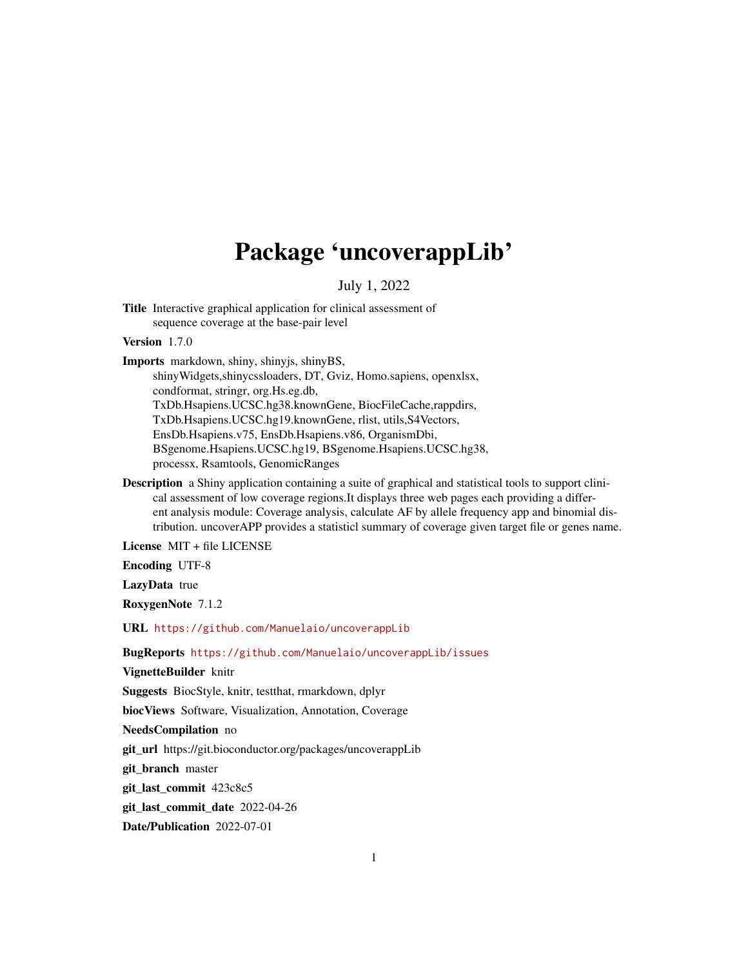## Package 'uncoverappLib'

#### July 1, 2022

Title Interactive graphical application for clinical assessment of sequence coverage at the base-pair level

Version 1.7.0

Imports markdown, shiny, shinyjs, shinyBS,

shinyWidgets,shinycssloaders, DT, Gviz, Homo.sapiens, openxlsx, condformat, stringr, org.Hs.eg.db, TxDb.Hsapiens.UCSC.hg38.knownGene, BiocFileCache,rappdirs, TxDb.Hsapiens.UCSC.hg19.knownGene, rlist, utils,S4Vectors, EnsDb.Hsapiens.v75, EnsDb.Hsapiens.v86, OrganismDbi, BSgenome.Hsapiens.UCSC.hg19, BSgenome.Hsapiens.UCSC.hg38, processx, Rsamtools, GenomicRanges

Description a Shiny application containing a suite of graphical and statistical tools to support clinical assessment of low coverage regions.It displays three web pages each providing a different analysis module: Coverage analysis, calculate AF by allele frequency app and binomial distribution. uncoverAPP provides a statisticl summary of coverage given target file or genes name.

License MIT + file LICENSE

Encoding UTF-8

LazyData true

RoxygenNote 7.1.2

URL <https://github.com/Manuelaio/uncoverappLib>

BugReports <https://github.com/Manuelaio/uncoverappLib/issues>

VignetteBuilder knitr

Suggests BiocStyle, knitr, testthat, rmarkdown, dplyr

biocViews Software, Visualization, Annotation, Coverage

NeedsCompilation no

git\_url https://git.bioconductor.org/packages/uncoverappLib

git\_branch master

git\_last\_commit 423c8c5

git last commit date 2022-04-26

Date/Publication 2022-07-01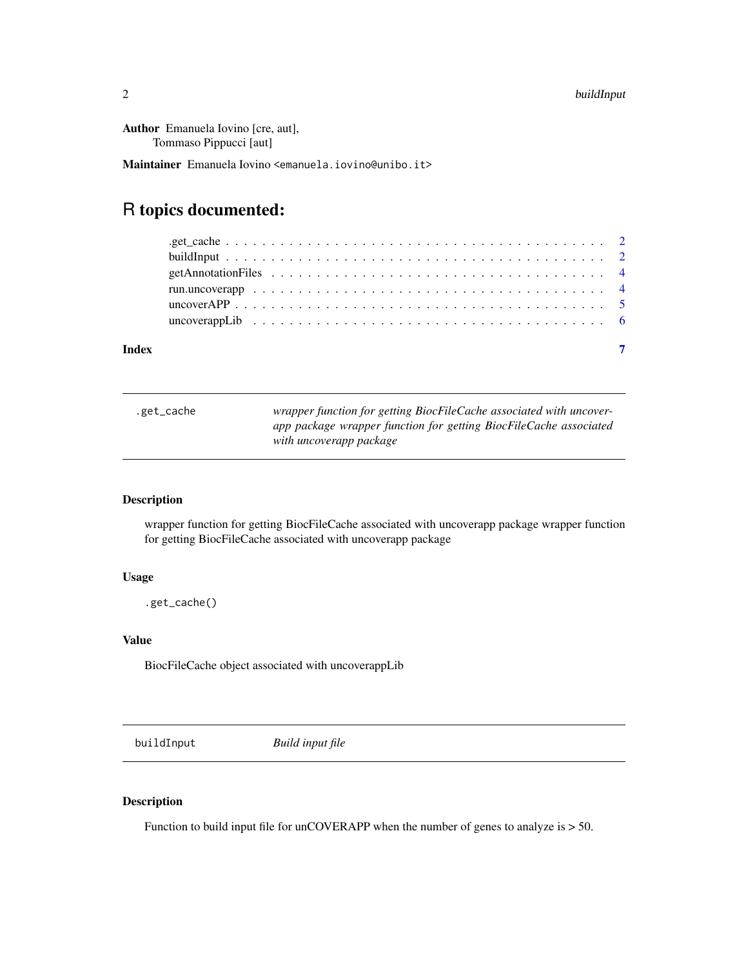<span id="page-1-0"></span>Author Emanuela Iovino [cre, aut], Tommaso Pippucci [aut]

Maintainer Emanuela Iovino <emanuela.iovino@unibo.it>

### R topics documented:

| Index | $\overline{7}$ |
|-------|----------------|

| .get_cache | wrapper function for getting BiocFileCache associated with uncover-<br>app package wrapper function for getting BiocFileCache associated |
|------------|------------------------------------------------------------------------------------------------------------------------------------------|
|            | with uncoverapp package                                                                                                                  |

#### Description

wrapper function for getting BiocFileCache associated with uncoverapp package wrapper function for getting BiocFileCache associated with uncoverapp package

#### Usage

.get\_cache()

#### Value

BiocFileCache object associated with uncoverappLib

buildInput *Build input file*

#### Description

Function to build input file for unCOVERAPP when the number of genes to analyze is  $> 50$ .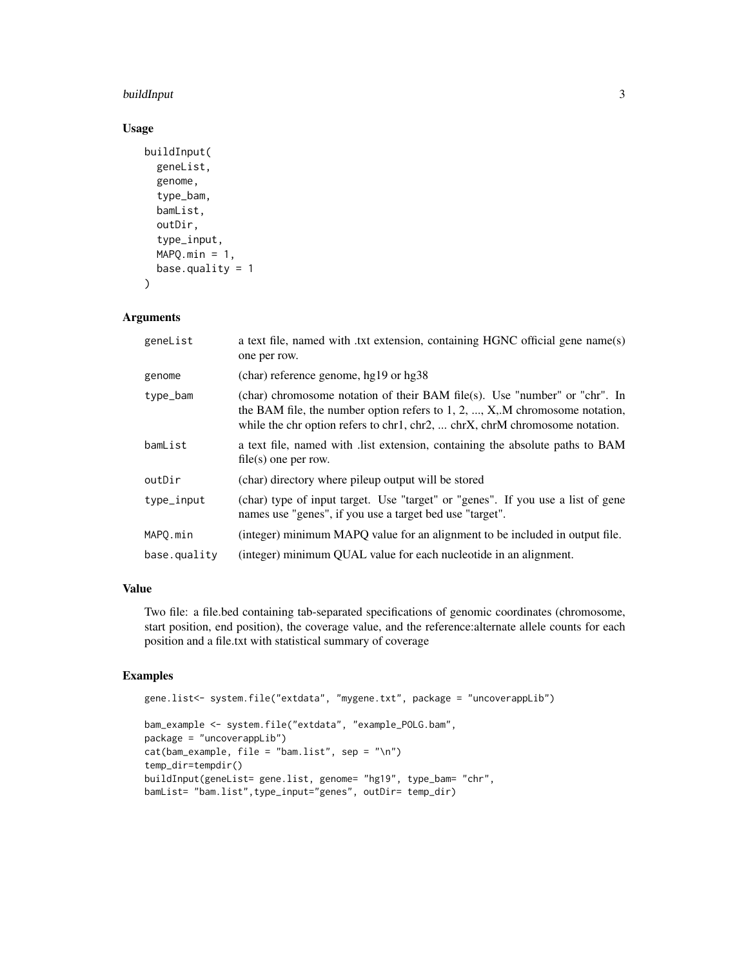#### buildInput 3

#### Usage

```
buildInput(
  geneList,
  genome,
  type_bam,
  bamList,
  outDir,
  type_input,
  MAPQ.min = 1,base.quality = 1\mathcal{L}
```
#### Arguments

| geneList     | a text file, named with txt extension, containing HGNC official gene name(s)<br>one per row.                                                                                                                                               |
|--------------|--------------------------------------------------------------------------------------------------------------------------------------------------------------------------------------------------------------------------------------------|
| genome       | (char) reference genome, hg19 or hg38                                                                                                                                                                                                      |
| type_bam     | (char) chromosome notation of their BAM file(s). Use "number" or "chr". In<br>the BAM file, the number option refers to $1, 2, , X, M$ chromosome notation,<br>while the chr option refers to chr1, chr2,  chrX, chrM chromosome notation. |
| bamList      | a text file, named with list extension, containing the absolute paths to BAM<br>$file(s)$ one per row.                                                                                                                                     |
| outDir       | (char) directory where pileup output will be stored                                                                                                                                                                                        |
| type_input   | (char) type of input target. Use "target" or "genes". If you use a list of gene<br>names use "genes", if you use a target bed use "target".                                                                                                |
| MAPO.min     | (integer) minimum MAPQ value for an alignment to be included in output file.                                                                                                                                                               |
| base.quality | (integer) minimum QUAL value for each nucleotide in an alignment.                                                                                                                                                                          |

#### Value

Two file: a file.bed containing tab-separated specifications of genomic coordinates (chromosome, start position, end position), the coverage value, and the reference:alternate allele counts for each position and a file.txt with statistical summary of coverage

#### Examples

```
gene.list<- system.file("extdata", "mygene.txt", package = "uncoverappLib")
bam_example <- system.file("extdata", "example_POLG.bam",
package = "uncoverappLib")
cat(bam_example, file = "bam.list", sep = "\n")
temp_dir=tempdir()
buildInput(geneList= gene.list, genome= "hg19", type_bam= "chr",
bamList= "bam.list",type_input="genes", outDir= temp_dir)
```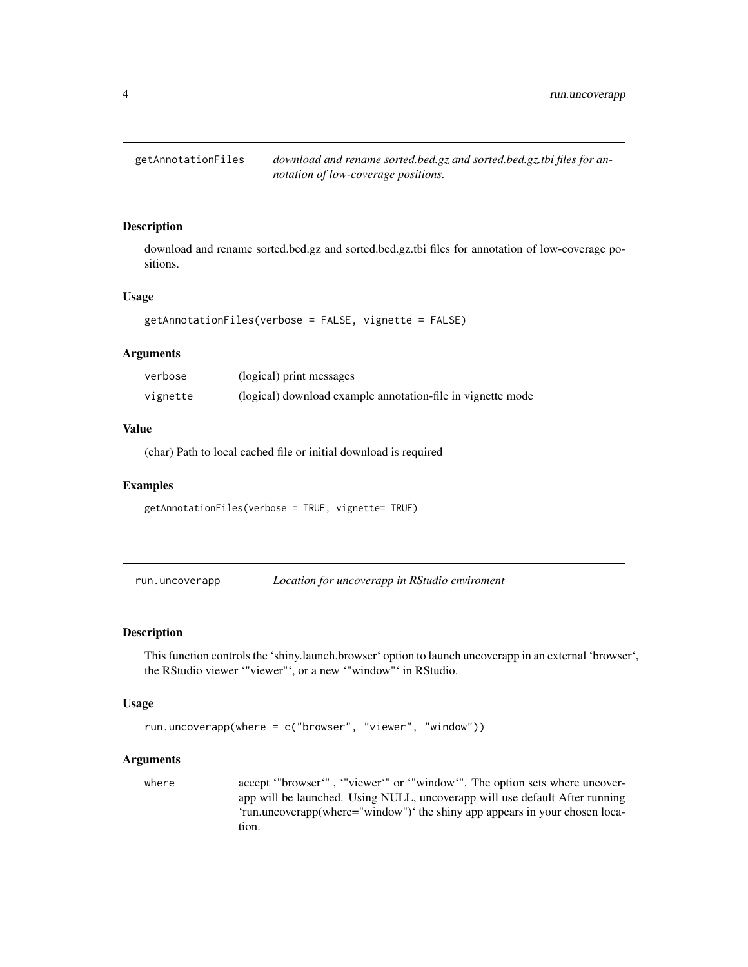<span id="page-3-0"></span>

#### Description

download and rename sorted.bed.gz and sorted.bed.gz.tbi files for annotation of low-coverage positions.

#### Usage

```
getAnnotationFiles(verbose = FALSE, vignette = FALSE)
```
#### Arguments

| verbose  | (logical) print messages                                    |
|----------|-------------------------------------------------------------|
| vignette | (logical) download example annotation-file in vignette mode |

#### Value

(char) Path to local cached file or initial download is required

#### Examples

getAnnotationFiles(verbose = TRUE, vignette= TRUE)

run.uncoverapp *Location for uncoverapp in RStudio enviroment*

#### Description

This function controls the 'shiny.launch.browser' option to launch uncoverapp in an external 'browser', the RStudio viewer '"viewer"', or a new '"window"' in RStudio.

#### Usage

```
run.uncoverapp(where = c("browser", "viewer", "window"))
```
#### Arguments

where accept '"browser'", '"viewer'" or '"window'". The option sets where uncoverapp will be launched. Using NULL, uncoverapp will use default After running 'run.uncoverapp(where="window")' the shiny app appears in your chosen location.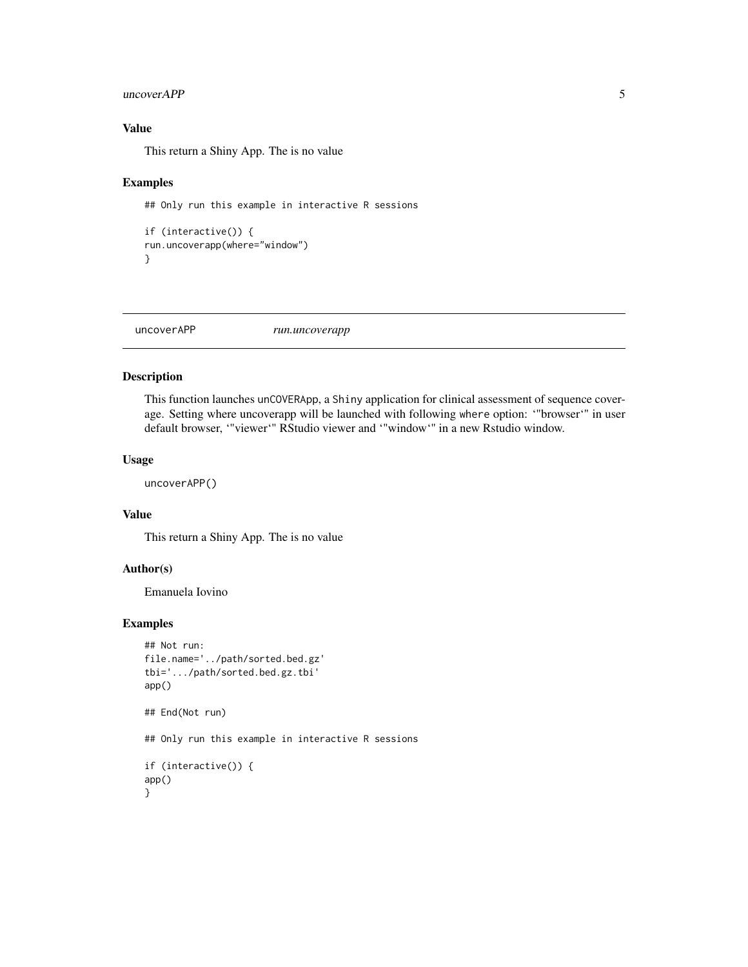#### <span id="page-4-0"></span>uncoverAPP 5

#### Value

This return a Shiny App. The is no value

#### Examples

```
## Only run this example in interactive R sessions
```

```
if (interactive()) {
run.uncoverapp(where="window")
}
```
uncoverAPP *run.uncoverapp*

#### Description

This function launches unCOVERApp, a Shiny application for clinical assessment of sequence coverage. Setting where uncoverapp will be launched with following where option: '"browser'" in user default browser, '"viewer'" RStudio viewer and '"window'" in a new Rstudio window.

#### Usage

uncoverAPP()

#### Value

This return a Shiny App. The is no value

#### Author(s)

Emanuela Iovino

#### Examples

```
## Not run:
file.name='../path/sorted.bed.gz'
tbi='.../path/sorted.bed.gz.tbi'
app()
## End(Not run)
## Only run this example in interactive R sessions
if (interactive()) {
app()
}
```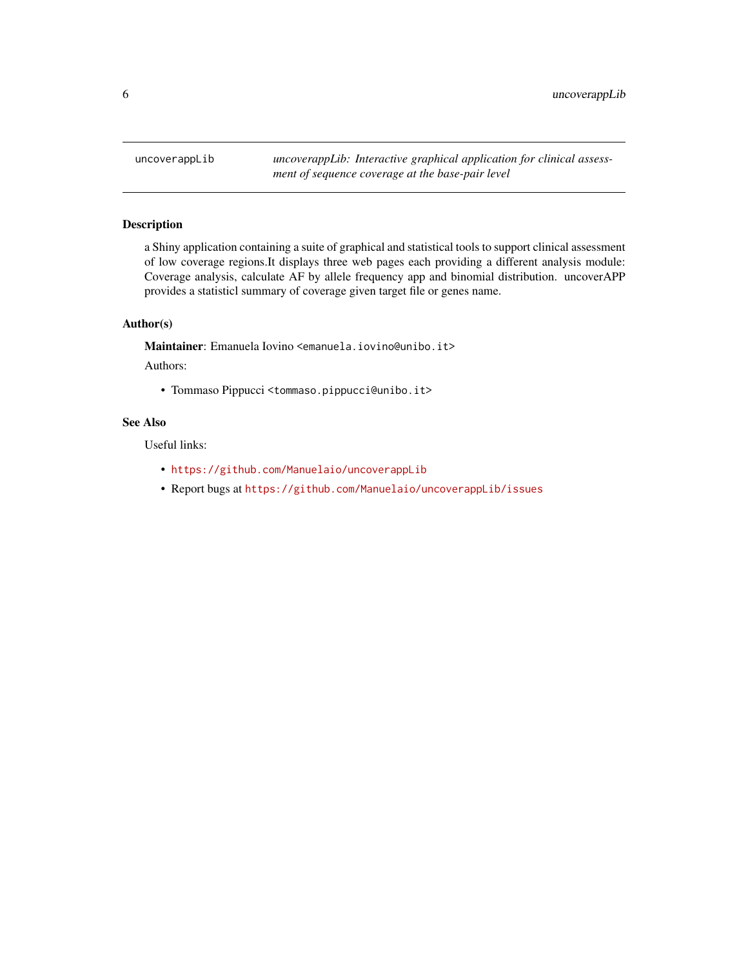<span id="page-5-0"></span>uncoverappLib *uncoverappLib: Interactive graphical application for clinical assessment of sequence coverage at the base-pair level*

#### Description

a Shiny application containing a suite of graphical and statistical tools to support clinical assessment of low coverage regions.It displays three web pages each providing a different analysis module: Coverage analysis, calculate AF by allele frequency app and binomial distribution. uncoverAPP provides a statisticl summary of coverage given target file or genes name.

#### Author(s)

Maintainer: Emanuela Iovino <emanuela.iovino@unibo.it>

Authors:

• Tommaso Pippucci <tommaso.pippucci@unibo.it>

#### See Also

Useful links:

- <https://github.com/Manuelaio/uncoverappLib>
- Report bugs at <https://github.com/Manuelaio/uncoverappLib/issues>